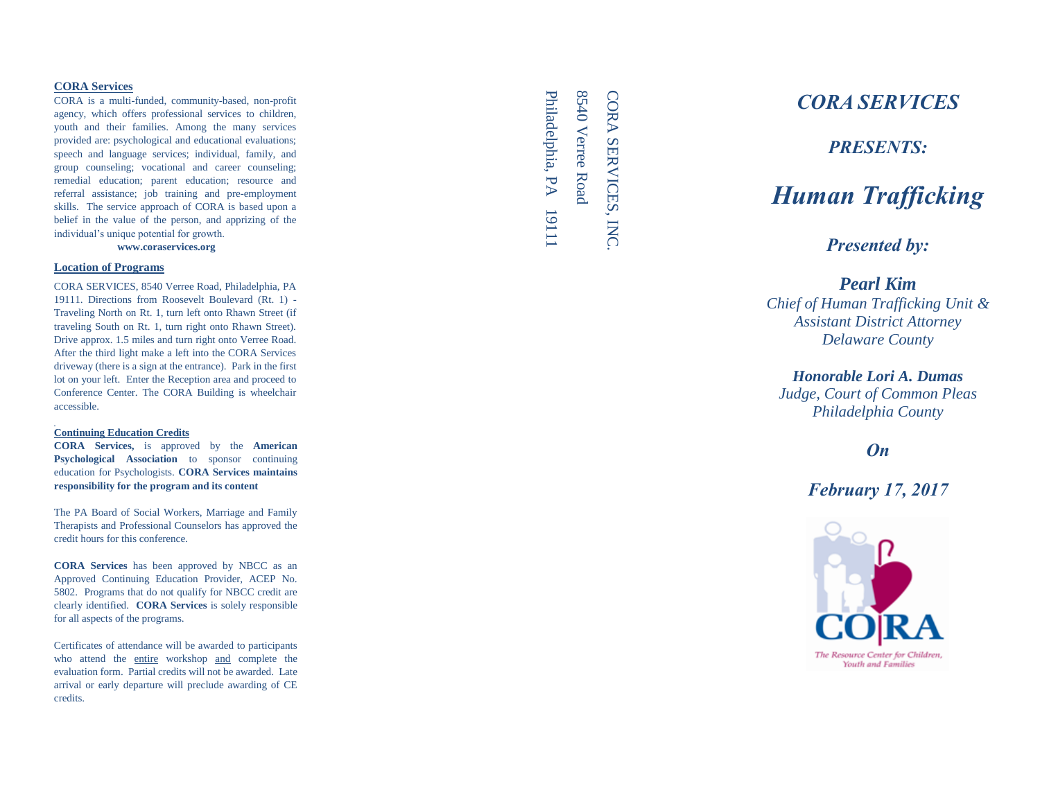## **CORA Services**

CORA is a multi -funded, community -based, non -profit agency, which offers professional services to children, youth and their families. Among the many services provided are: psychological and educational evaluations; speech and language services; individual, family, and group counseling; vocational and career counseling; remedial education; parent education; resource and referral assistance; job training and pre -employment skills. The service approach of CORA is based upon a belief in the value of the person, and apprizing of the individual's unique potential for growth.

**www.coraservices.org**

## **Location of Programs**

CORA SERVICES, 8540 Verree Road, Philadelphia, PA 19111. Directions from Roosevelt Boulevard (Rt. 1) - Traveling North on Rt. 1, turn left onto Rhawn Street (if traveling South on Rt. 1, turn right onto Rhawn Street). Drive approx. 1.5 miles and turn right onto Verree Road. After the third light make a left into the CORA Services driveway (there is a sign at the entrance). Park in the first lot on your left. Enter the Reception area and proceed to Conference Center. The CORA Building is wheelchair accessible.

#### **Continuing Education Credits**

**CORA Services,** is approved by the **American Psychological Association** to sponsor continuing education for Psychologists. **CORA Services maintains responsibility for the program and its content**

The PA Board of Social Workers, Marriage and Family Therapists and Professional Counselors has approved the credit hours for this conference.

**CORA Services** has been approved by NBCC as an Approved Continuing Education Provider, ACEP No. 5802. Programs that do not qualify for NBCC credit are clearly identified. **CORA Services** is solely responsible for all aspects of the programs.

Certificates of attendance will be awarded to participants who attend the entire workshop and complete the evaluation form. Partial credits will not be awarded. Late arrival or early departure will preclude awarding of CE credits.

Philadelphia, PA 1911 Philadelphia, PA 19111 8540 Verree Road 8540 Verree Road CORA SERVICES, INC.CORA SERVICES, INC

# *CORA SERVICES*

*PRESENTS:* 

# *Human Trafficking*

*Presented by:*

# *Pearl Kim*

*Chief of Human Trafficking Unit & Assistant District Attorney Delaware County*

# *Honorable Lori A. Dumas*

*Judge, Court of Common Pleas Philadelphia County*

# *On*

*February 17, 2017*